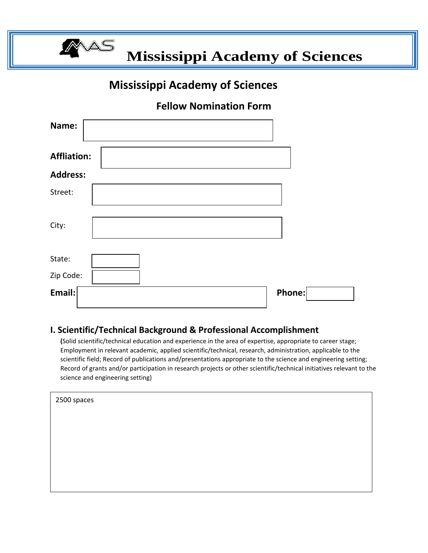

 **Mississippi Academy of Sciences** 

# **Mississippi Academy of Sciences**

# **Fellow Nomination Form**

| Name:              |        |
|--------------------|--------|
| <b>Affliation:</b> |        |
| <b>Address:</b>    |        |
| Street:            |        |
| City:              |        |
| State:             |        |
| Zip Code:          |        |
| Email:             | Phone: |

#### **I. Scientific/Technical Background & Professional Accomplishment**

**(**Solid scientific/technical education and experience in the area of expertise, appropriate to career stage; Employment in relevant academic, applied scientific/technical, research, administration, applicable to the scientific field; Record of publications and/presentations appropriate to the science and engineering setting; Record of grants and/or participation in research projects or other scientific/technical initiatives relevant to the science and engineering setting)

| 2500 spaces |  |  |  |
|-------------|--|--|--|
|             |  |  |  |
|             |  |  |  |
|             |  |  |  |
|             |  |  |  |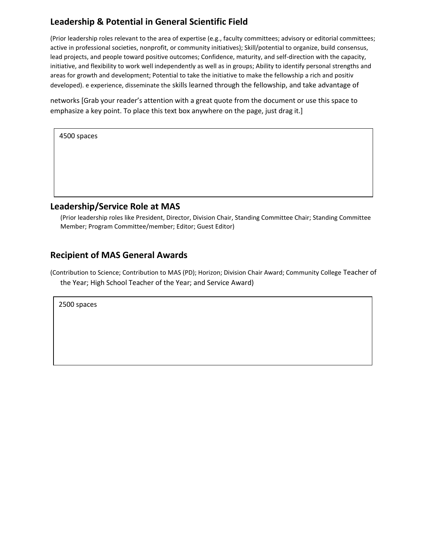## **Leadership & Potential in General Scientific Field**

(Prior leadership roles relevant to the area of expertise (e.g., faculty committees; advisory or editorial committees; active in professional societies, nonprofit, or community initiatives); Skill/potential to organize, build consensus, lead projects, and people toward positive outcomes; Confidence, maturity, and self-direction with the capacity, initiative, and flexibility to work well independently as well as in groups; Ability to identify personal strengths and areas for growth and development; Potential to take the initiative to make the fellowship a rich and positiv developed). e experience, disseminate the skills learned through the fellowship, and take advantage of

networks [Grab your reader's attention with a great quote from the document or use this space to emphasize a key point. To place this text box anywhere on the page, just drag it.]

| 4500 spaces |  |
|-------------|--|
|             |  |

#### **Leadership/Service Role at MAS**

(Prior leadership roles like President, Director, Division Chair, Standing Committee Chair; Standing Committee Member; Program Committee/member; Editor; Guest Editor)

#### **Recipient of MAS General Awards**

(Contribution to Science; Contribution to MAS (PD); Horizon; Division Chair Award; Community College Teacher of the Year; High School Teacher of the Year; and Service Award)

2500 spaces